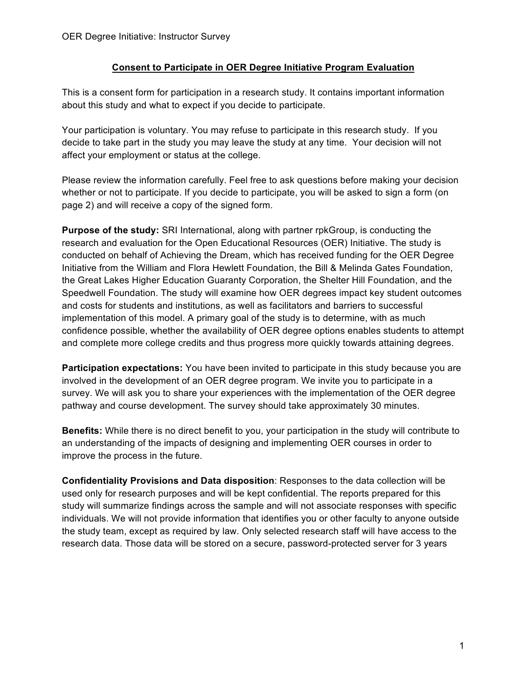## **Consent to Participate in OER Degree Initiative Program Evaluation**

This is a consent form for participation in a research study. It contains important information about this study and what to expect if you decide to participate.

Your participation is voluntary. You may refuse to participate in this research study. If you decide to take part in the study you may leave the study at any time. Your decision will not affect your employment or status at the college.

Please review the information carefully. Feel free to ask questions before making your decision whether or not to participate. If you decide to participate, you will be asked to sign a form (on page 2) and will receive a copy of the signed form.

**Purpose of the study:** SRI International, along with partner rpkGroup, is conducting the research and evaluation for the Open Educational Resources (OER) Initiative. The study is conducted on behalf of Achieving the Dream, which has received funding for the OER Degree Initiative from the William and Flora Hewlett Foundation, the Bill & Melinda Gates Foundation, the Great Lakes Higher Education Guaranty Corporation, the Shelter Hill Foundation, and the Speedwell Foundation. The study will examine how OER degrees impact key student outcomes and costs for students and institutions, as well as facilitators and barriers to successful implementation of this model. A primary goal of the study is to determine, with as much confidence possible, whether the availability of OER degree options enables students to attempt and complete more college credits and thus progress more quickly towards attaining degrees.

**Participation expectations:** You have been invited to participate in this study because you are involved in the development of an OER degree program. We invite you to participate in a survey. We will ask you to share your experiences with the implementation of the OER degree pathway and course development. The survey should take approximately 30 minutes.

**Benefits:** While there is no direct benefit to you, your participation in the study will contribute to an understanding of the impacts of designing and implementing OER courses in order to improve the process in the future.

**Confidentiality Provisions and Data disposition**: Responses to the data collection will be used only for research purposes and will be kept confidential. The reports prepared for this study will summarize findings across the sample and will not associate responses with specific individuals. We will not provide information that identifies you or other faculty to anyone outside the study team, except as required by law. Only selected research staff will have access to the research data. Those data will be stored on a secure, password-protected server for 3 years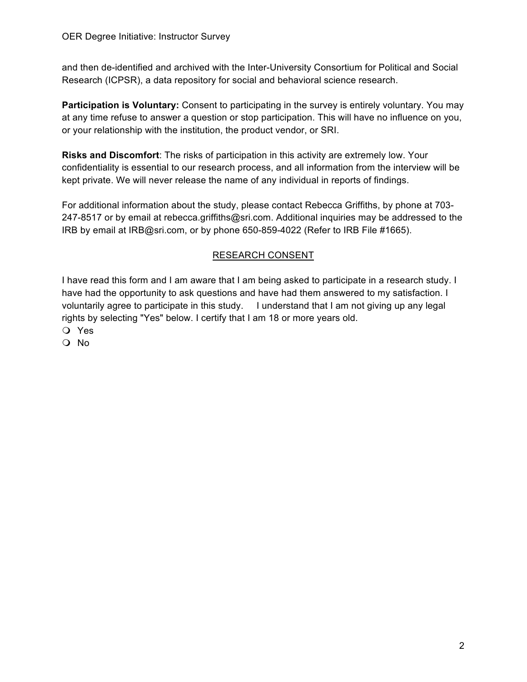and then de-identified and archived with the Inter-University Consortium for Political and Social Research (ICPSR), a data repository for social and behavioral science research.

**Participation is Voluntary:** Consent to participating in the survey is entirely voluntary. You may at any time refuse to answer a question or stop participation. This will have no influence on you, or your relationship with the institution, the product vendor, or SRI.

**Risks and Discomfort**: The risks of participation in this activity are extremely low. Your confidentiality is essential to our research process, and all information from the interview will be kept private. We will never release the name of any individual in reports of findings.

For additional information about the study, please contact Rebecca Griffiths, by phone at 703- 247-8517 or by email at rebecca.griffiths@sri.com. Additional inquiries may be addressed to the IRB by email at IRB@sri.com, or by phone 650-859-4022 (Refer to IRB File #1665).

## RESEARCH CONSENT

I have read this form and I am aware that I am being asked to participate in a research study. I have had the opportunity to ask questions and have had them answered to my satisfaction. I voluntarily agree to participate in this study. I understand that I am not giving up any legal rights by selecting "Yes" below. I certify that I am 18 or more years old.

O Yes

O No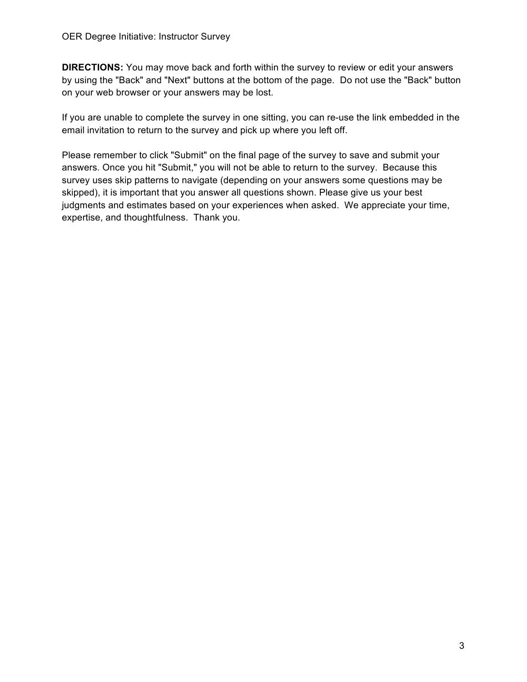**DIRECTIONS:** You may move back and forth within the survey to review or edit your answers by using the "Back" and "Next" buttons at the bottom of the page. Do not use the "Back" button on your web browser or your answers may be lost.

If you are unable to complete the survey in one sitting, you can re-use the link embedded in the email invitation to return to the survey and pick up where you left off.

Please remember to click "Submit" on the final page of the survey to save and submit your answers. Once you hit "Submit," you will not be able to return to the survey. Because this survey uses skip patterns to navigate (depending on your answers some questions may be skipped), it is important that you answer all questions shown. Please give us your best judgments and estimates based on your experiences when asked. We appreciate your time, expertise, and thoughtfulness. Thank you.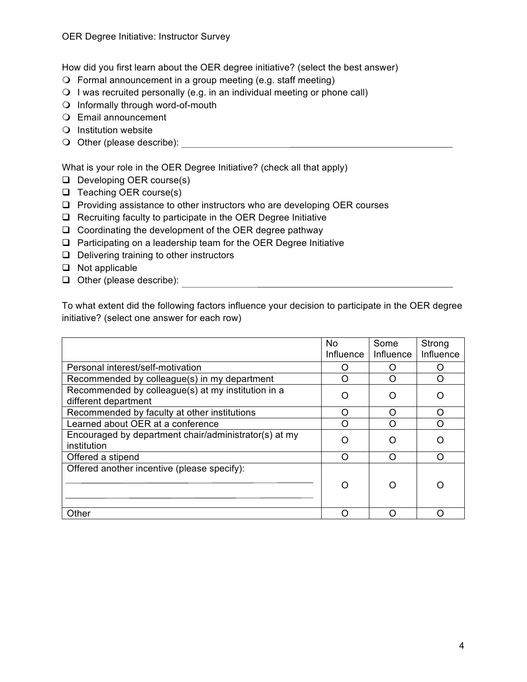How did you first learn about the OER degree initiative? (select the best answer)

- $\bigcirc$  Formal announcement in a group meeting (e.g. staff meeting)
- $\bigcirc$  I was recruited personally (e.g. in an individual meeting or phone call)
- $\bigcirc$  Informally through word-of-mouth
- O Email announcement
- $\bigcirc$  Institution website
- O Other (please describe):  $\overline{a}$

What is your role in the OER Degree Initiative? (check all that apply)

- D Developing OER course(s)
- $\Box$  Teaching OER course(s)
- $\Box$  Providing assistance to other instructors who are developing OER courses
- $\Box$  Recruiting faculty to participate in the OER Degree Initiative
- $\Box$  Coordinating the development of the OER degree pathway
- $\Box$  Participating on a leadership team for the OER Degree Initiative
- $\Box$  Delivering training to other instructors
- $\Box$  Not applicable
- **Q** Other (please describe):

To what extent did the following factors influence your decision to participate in the OER degree initiative? (select one answer for each row)

|                                                                            | <b>No</b><br>Influence | Some<br>Influence | Strong<br>Influence |
|----------------------------------------------------------------------------|------------------------|-------------------|---------------------|
| Personal interest/self-motivation                                          | Ω                      |                   | Ω                   |
| Recommended by colleague(s) in my department                               | O                      | ∩                 | Ω                   |
| Recommended by colleague(s) at my institution in a<br>different department | ∩                      |                   |                     |
| Recommended by faculty at other institutions                               | O                      | ∩                 | ∩                   |
| Learned about OER at a conference                                          | ∩                      |                   | ∩                   |
| Encouraged by department chair/administrator(s) at my<br>institution       | ∩                      |                   |                     |
| Offered a stipend                                                          | ∩                      | ∩                 | ∩                   |
| Offered another incentive (please specify):                                | ∩                      |                   |                     |
| Other                                                                      | O                      |                   |                     |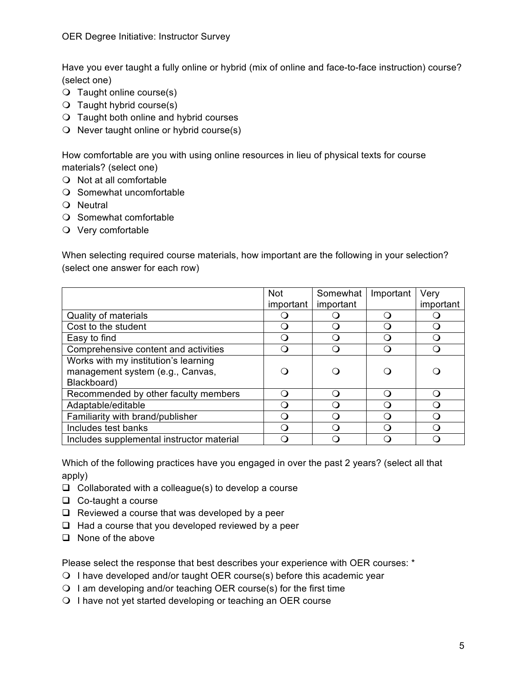Have you ever taught a fully online or hybrid (mix of online and face-to-face instruction) course? (select one)

- $\bigcirc$  Taught online course(s)
- $\bigcirc$  Taught hybrid course(s)
- $\bigcirc$  Taught both online and hybrid courses
- $\Omega$  Never taught online or hybrid course(s)

How comfortable are you with using online resources in lieu of physical texts for course materials? (select one)

- $\bigcirc$  Not at all comfortable
- $\bigcirc$  Somewhat uncomfortable
- $\Omega$  Neutral
- $\bigcirc$  Somewhat comfortable
- $\bigcirc$  Very comfortable

When selecting required course materials, how important are the following in your selection? (select one answer for each row)

|                                           | <b>Not</b> | Somewhat  | Important | Very      |
|-------------------------------------------|------------|-----------|-----------|-----------|
|                                           | important  | important |           | important |
| Quality of materials                      |            |           |           |           |
| Cost to the student                       |            |           | ∩         |           |
| Easy to find                              |            |           |           |           |
| Comprehensive content and activities      |            |           |           |           |
| Works with my institution's learning      |            |           |           |           |
| management system (e.g., Canvas,          |            |           |           |           |
| Blackboard)                               |            |           |           |           |
| Recommended by other faculty members      |            | ∩         | ∩         | ()        |
| Adaptable/editable                        |            |           |           |           |
| Familiarity with brand/publisher          |            |           |           |           |
| Includes test banks                       |            |           | ( )       |           |
| Includes supplemental instructor material |            |           |           |           |

Which of the following practices have you engaged in over the past 2 years? (select all that apply)

- $\Box$  Collaborated with a colleague(s) to develop a course
- $\Box$  Co-taught a course
- $\Box$  Reviewed a course that was developed by a peer
- $\Box$  Had a course that you developed reviewed by a peer
- $\Box$  None of the above

Please select the response that best describes your experience with OER courses: \*

- $\bigcirc$  I have developed and/or taught OER course(s) before this academic year
- $\Omega$  I am developing and/or teaching OER course(s) for the first time
- O I have not yet started developing or teaching an OER course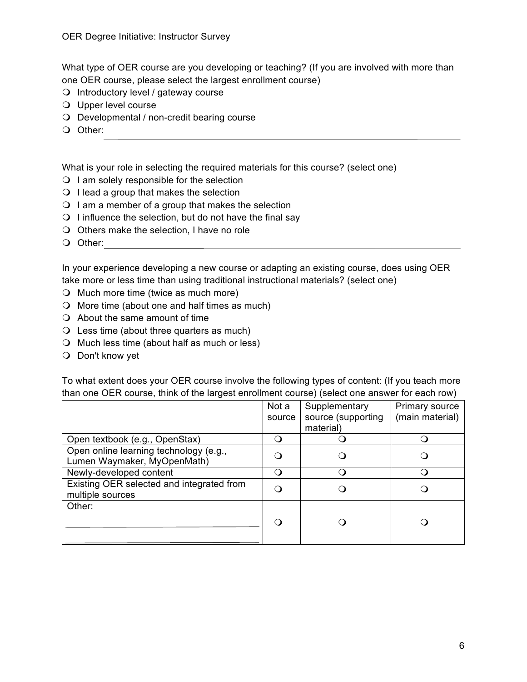What type of OER course are you developing or teaching? (If you are involved with more than one OER course, please select the largest enrollment course)

- $\Omega$  Introductory level / gateway course
- $\bigcirc$  Upper level course
- $\bigcirc$  Developmental / non-credit bearing course
- O Other:

What is your role in selecting the required materials for this course? (select one)

- $\bigcirc$  I am solely responsible for the selection
- $\Omega$  I lead a group that makes the selection
- $\Omega$  I am a member of a group that makes the selection
- $\bigcirc$  I influence the selection, but do not have the final say
- $\bigcirc$  Others make the selection, I have no role
- O Other:

In your experience developing a new course or adapting an existing course, does using OER take more or less time than using traditional instructional materials? (select one)

- $\bigcirc$  Much more time (twice as much more)
- $\bigcirc$  More time (about one and half times as much)
- $\bigcirc$  About the same amount of time
- $\bigcirc$  Less time (about three quarters as much)
- $\bigcirc$  Much less time (about half as much or less)
- $\bigcirc$  Don't know yet

To what extent does your OER course involve the following types of content: (If you teach more than one OER course, think of the largest enrollment course) (select one answer for each row)

|                                                                       | Not a<br>source | Supplementary<br>source (supporting | <b>Primary source</b><br>(main material) |
|-----------------------------------------------------------------------|-----------------|-------------------------------------|------------------------------------------|
|                                                                       |                 | material)                           |                                          |
| Open textbook (e.g., OpenStax)                                        | . .             |                                     |                                          |
| Open online learning technology (e.g.,<br>Lumen Waymaker, MyOpenMath) |                 |                                     |                                          |
| Newly-developed content                                               | ้า              |                                     |                                          |
| Existing OER selected and integrated from<br>multiple sources         |                 |                                     |                                          |
| Other:                                                                |                 |                                     |                                          |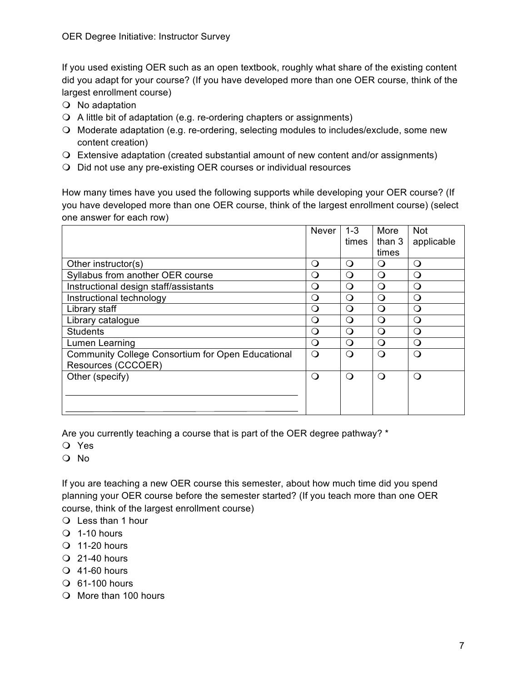If you used existing OER such as an open textbook, roughly what share of the existing content did you adapt for your course? (If you have developed more than one OER course, think of the largest enrollment course)

- $\bigcirc$  No adaptation
- $\Omega$  A little bit of adaptation (e.g. re-ordering chapters or assignments)
- m Moderate adaptation (e.g. re-ordering, selecting modules to includes/exclude, some new content creation)
- $\Omega$  Extensive adaptation (created substantial amount of new content and/or assignments)
- $\Omega$  Did not use any pre-existing OER courses or individual resources

How many times have you used the following supports while developing your OER course? (If you have developed more than one OER course, think of the largest enrollment course) (select one answer for each row)

|                                                          | <b>Never</b> | $1 - 3$  | More     | <b>Not</b> |
|----------------------------------------------------------|--------------|----------|----------|------------|
|                                                          |              | times    | than 3   | applicable |
|                                                          |              |          | times    |            |
| Other instructor(s)                                      | ∩            | ∩        | ∩        | $\Omega$   |
| Syllabus from another OER course                         | $\Omega$     | $\Omega$ | ∩        | $\Omega$   |
| Instructional design staff/assistants                    | $\Omega$     | ∩        | ∩        | $\Omega$   |
| Instructional technology                                 | $\Omega$     | ∩        | $\Omega$ | $\Omega$   |
| Library staff                                            | $\Omega$     | ∩        | ∩        | $\Omega$   |
| Library catalogue                                        | $\Omega$     | ∩        | ∩        | $\Omega$   |
| <b>Students</b>                                          | Q            | ∩        | ∩        | $\Omega$   |
| Lumen Learning                                           | O            | ∩        | ∩        | $\Omega$   |
| <b>Community College Consortium for Open Educational</b> | ∩            | ∩        | $\Omega$ | $\Omega$   |
| Resources (CCCOER)                                       |              |          |          |            |
| Other (specify)                                          | $\Omega$     | ∩        | ∩        | $\Omega$   |
|                                                          |              |          |          |            |
|                                                          |              |          |          |            |
|                                                          |              |          |          |            |

Are you currently teaching a course that is part of the OER degree pathway? \*

- O Yes
- m No

If you are teaching a new OER course this semester, about how much time did you spend planning your OER course before the semester started? (If you teach more than one OER course, think of the largest enrollment course)

- $\bigcirc$  Less than 1 hour
- $\bigcirc$  1-10 hours
- $\bigcirc$  11-20 hours
- $Q$  21-40 hours
- $\bigcirc$  41-60 hours
- $\bigcirc$  61-100 hours
- $\bigcirc$  More than 100 hours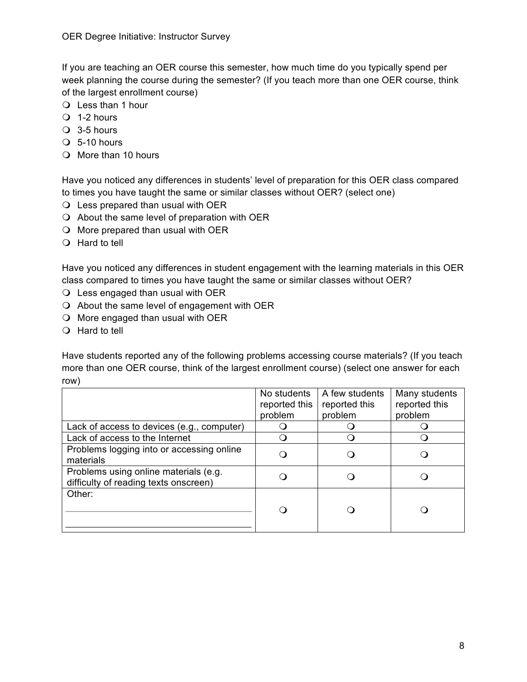If you are teaching an OER course this semester, how much time do you typically spend per week planning the course during the semester? (If you teach more than one OER course, think of the largest enrollment course)

- $\bigcirc$  Less than 1 hour
- $\bigcirc$  1-2 hours
- $\bigcirc$  3-5 hours
- $\bigcirc$  5-10 hours
- $\bigcirc$  More than 10 hours

Have you noticed any differences in students' level of preparation for this OER class compared to times you have taught the same or similar classes without OER? (select one)

- $\Omega$  Less prepared than usual with OER
- $\Omega$  About the same level of preparation with OER
- $\bigcirc$  More prepared than usual with OER
- $\bigcirc$  Hard to tell

Have you noticed any differences in student engagement with the learning materials in this OER class compared to times you have taught the same or similar classes without OER?

- $\bigcirc$  Less engaged than usual with OER
- $\Omega$  About the same level of engagement with OER
- $\Omega$  More engaged than usual with OER
- $\bigcirc$  Hard to tell

Have students reported any of the following problems accessing course materials? (If you teach more than one OER course, think of the largest enrollment course) (select one answer for each row)

|                                                                                | No students<br>reported this<br>problem | A few students<br>reported this<br>problem | Many students<br>reported this<br>problem |
|--------------------------------------------------------------------------------|-----------------------------------------|--------------------------------------------|-------------------------------------------|
| Lack of access to devices (e.g., computer)                                     |                                         |                                            |                                           |
| Lack of access to the Internet                                                 |                                         |                                            |                                           |
| Problems logging into or accessing online<br>materials                         |                                         |                                            |                                           |
| Problems using online materials (e.g.<br>difficulty of reading texts onscreen) |                                         |                                            |                                           |
| Other:                                                                         |                                         |                                            |                                           |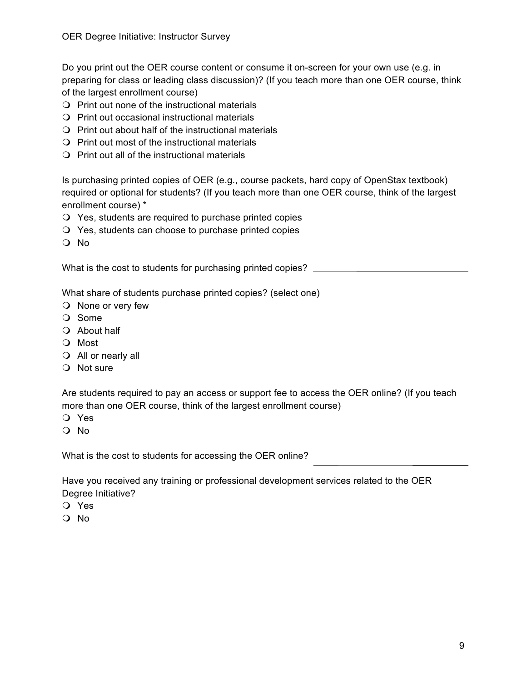Do you print out the OER course content or consume it on-screen for your own use (e.g. in preparing for class or leading class discussion)? (If you teach more than one OER course, think of the largest enrollment course)

- $\bigcirc$  Print out none of the instructional materials
- $\Omega$  Print out occasional instructional materials
- $\Omega$  Print out about half of the instructional materials
- $\bigcirc$  Print out most of the instructional materials
- $\bigcirc$  Print out all of the instructional materials

Is purchasing printed copies of OER (e.g., course packets, hard copy of OpenStax textbook) required or optional for students? (If you teach more than one OER course, think of the largest enrollment course) \*

- $\bigcirc$  Yes, students are required to purchase printed copies
- $\Omega$  Yes, students can choose to purchase printed copies
- O No

What is the cost to students for purchasing printed copies? \_\_\_\_\_\_\_\_\_\_\_\_\_\_\_\_\_\_\_\_

What share of students purchase printed copies? (select one)

- $\bigcirc$  None or very few
- O Some
- $\bigcirc$  About half
- O Most
- $\bigcirc$  All or nearly all
- O Not sure

Are students required to pay an access or support fee to access the OER online? (If you teach more than one OER course, think of the largest enrollment course)

- O Yes
- O No

What is the cost to students for accessing the OER online?

Have you received any training or professional development services related to the OER Degree Initiative?

- O Yes
- m No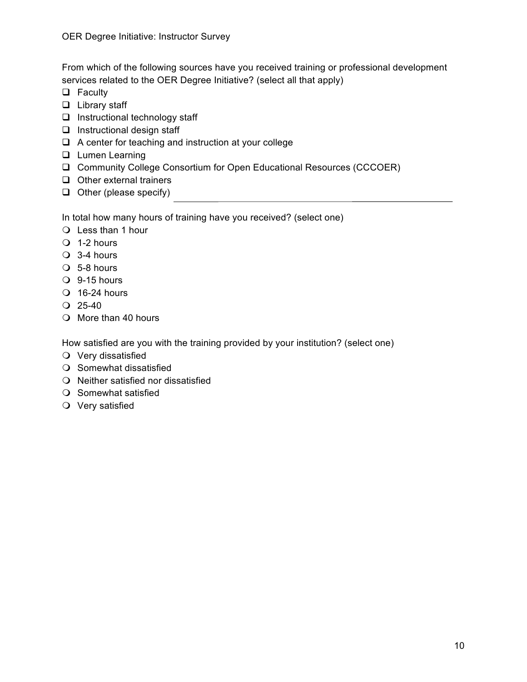From which of the following sources have you received training or professional development services related to the OER Degree Initiative? (select all that apply)

- $\Box$  Faculty
- $\Box$  Library staff
- $\Box$  Instructional technology staff
- $\Box$  Instructional design staff
- $\Box$  A center for teaching and instruction at your college
- **Q** Lumen Learning
- □ Community College Consortium for Open Educational Resources (CCCOER)
- $\Box$  Other external trainers
- $\Box$  Other (please specify)

In total how many hours of training have you received? (select one)

- $\bigcirc$  Less than 1 hour
- $\overline{O}$  1-2 hours
- $\bigcirc$  3-4 hours
- $\bigcirc$  5-8 hours
- $\bigcirc$  9-15 hours
- $\bigcirc$  16-24 hours
- $Q$  25-40
- $\bigcirc$  More than 40 hours

How satisfied are you with the training provided by your institution? (select one)

- $\bigcirc$  Very dissatisfied
- $\bigcirc$  Somewhat dissatisfied
- $\Omega$  Neither satisfied nor dissatisfied
- $\bigcirc$  Somewhat satisfied
- $\bigcirc$  Very satisfied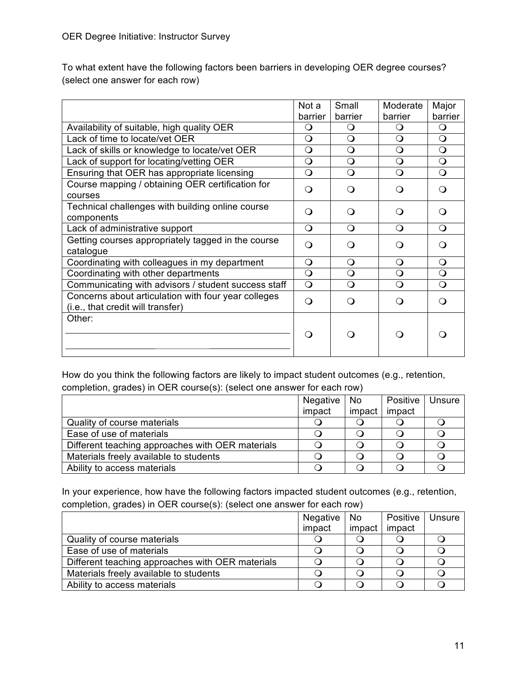To what extent have the following factors been barriers in developing OER degree courses? (select one answer for each row)

|                                                     | Not a      | Small      | Moderate     | Major            |
|-----------------------------------------------------|------------|------------|--------------|------------------|
|                                                     | barrier    | barrier    | barrier      | barrier          |
| Availability of suitable, high quality OER          | Q          | O          | Q            | $\circ$          |
| Lack of time to locate/vet OER                      | $\Omega$   | $\Omega$   | $\circ$      | $\Omega$         |
| Lack of skills or knowledge to locate/vet OER       | $\Omega$   | $\Omega$   | $\Omega$     | $\Omega$         |
| Lack of support for locating/vetting OER            | $\bigcirc$ | $\bigcirc$ | $\mathsf{O}$ | $\bigcirc$       |
| Ensuring that OER has appropriate licensing         | $\Omega$   | $\Omega$   | $\Omega$     | $\Omega$         |
| Course mapping / obtaining OER certification for    | ∩          | ∩          | ∩            | ∩                |
| courses                                             |            |            |              |                  |
| Technical challenges with building online course    | ∩          | ∩          | ∩            | ∩                |
| components                                          |            |            |              |                  |
| Lack of administrative support                      | $\Omega$   | $\circ$    | $\Omega$     | $\Omega$         |
| Getting courses appropriately tagged in the course  | ∩          | ∩          | ∩            | ∩                |
| catalogue                                           |            |            |              |                  |
| Coordinating with colleagues in my department       | $\Omega$   | $\Omega$   | Q            | $\Omega$         |
| Coordinating with other departments                 | $\Omega$   | $\Omega$   | $\Omega$     | $\Omega$         |
| Communicating with advisors / student success staff | $\bigcirc$ | $\Omega$   | $\Omega$     | $\Omega$         |
| Concerns about articulation with four year colleges | ∩          | ∩          | ∩            | $\left( \right)$ |
| (i.e., that credit will transfer)                   |            |            |              |                  |
| Other:                                              |            |            |              |                  |
|                                                     |            |            |              |                  |
|                                                     |            |            |              |                  |
|                                                     |            |            |              |                  |

How do you think the following factors are likely to impact student outcomes (e.g., retention, completion, grades) in OER course(s): (select one answer for each row)

|                                                  | Negative | No     | Positive | Unsure |
|--------------------------------------------------|----------|--------|----------|--------|
|                                                  | impact   | impact | impact   |        |
| Quality of course materials                      |          |        |          |        |
| Ease of use of materials                         |          |        |          |        |
| Different teaching approaches with OER materials |          |        |          |        |
| Materials freely available to students           |          |        |          |        |
| Ability to access materials                      |          |        |          |        |

In your experience, how have the following factors impacted student outcomes (e.g., retention, completion, grades) in OER course(s): (select one answer for each row)

|                                                  | Negative   No |        | Positive | Unsure |
|--------------------------------------------------|---------------|--------|----------|--------|
|                                                  | impact        | impact | impact   |        |
| Quality of course materials                      |               |        |          |        |
| Ease of use of materials                         |               |        |          |        |
| Different teaching approaches with OER materials |               |        |          |        |
| Materials freely available to students           |               |        |          |        |
| Ability to access materials                      |               |        |          |        |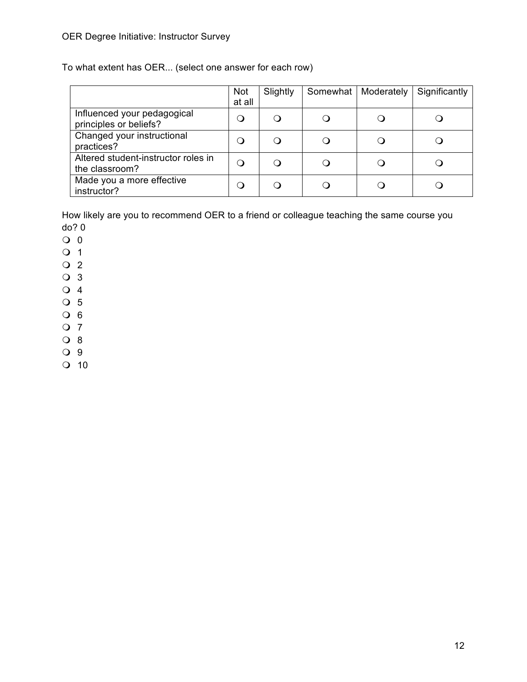To what extent has OER... (select one answer for each row)

|                                                       | <b>Not</b><br>at all | Slightly | Somewhat   Moderately | Significantly |
|-------------------------------------------------------|----------------------|----------|-----------------------|---------------|
| Influenced your pedagogical<br>principles or beliefs? |                      | ∩        |                       |               |
| Changed your instructional<br>practices?              | (၂                   | $\Omega$ |                       |               |
| Altered student-instructor roles in<br>the classroom? | Ő                    | Q        |                       |               |
| Made you a more effective<br>instructor?              |                      | ( )      |                       |               |

How likely are you to recommend OER to a friend or colleague teaching the same course you do? 0

- $\overline{O}$  0
- $\overline{O}$  1
- $\overline{O}$  2
- $\overline{O}$  3
- $\overline{O}$  4
- $\overline{O}$  5
- $O_6$
- $Q$  7
- $O_8$
- O 9
- $\Omega$  10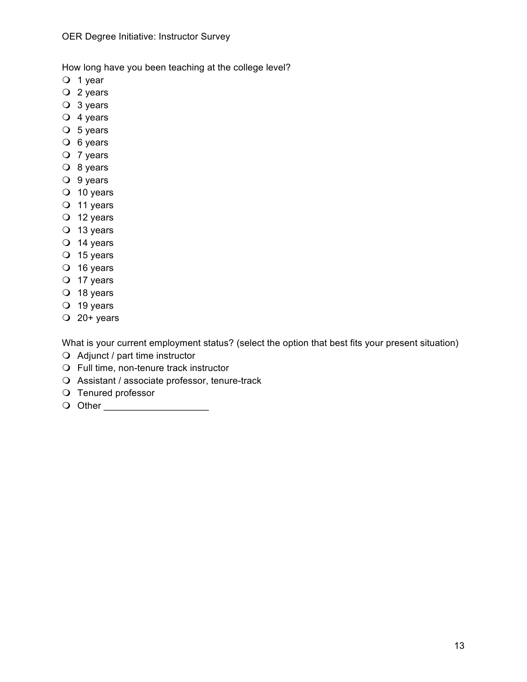How long have you been teaching at the college level?

- $\overline{O}$  1 year
- $Q$  2 years
- $\overline{O}$  3 years
- $\overline{O}$  4 years
- $\overline{O}$  5 years
- $\overline{O}$  6 years
- $O$  7 years
- $\overline{O}$  8 years
- $\overline{O}$  9 years
- $\overline{O}$  10 years
- $\overline{O}$  11 years
- $\overline{O}$  12 years
- $\overline{O}$  13 years
- $\overline{O}$  14 years
- $\overline{O}$  15 years
- $\overline{O}$  16 years
- $\overline{O}$  17 years
- $\overline{O}$  18 years
- $\overline{O}$  19 years
- $Q$  20+ years

What is your current employment status? (select the option that best fits your present situation)

- $\bigcirc$  Adjunct / part time instructor
- $\bigcirc$  Full time, non-tenure track instructor
- $\bigcirc$  Assistant / associate professor, tenure-track
- O Tenured professor
- O Other **Definition**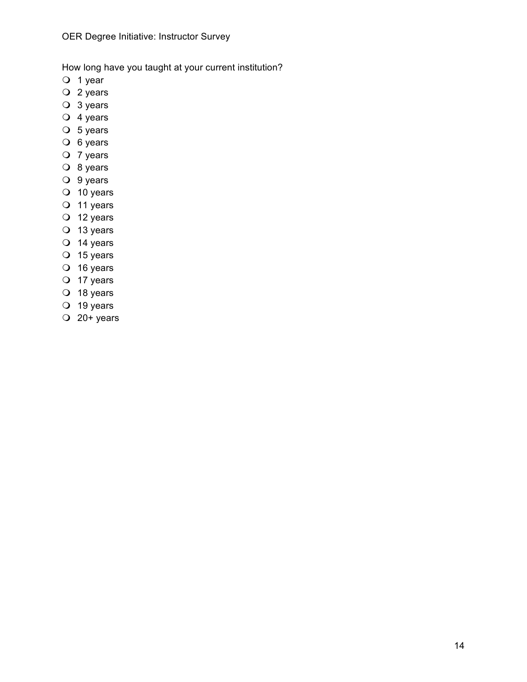How long have you taught at your current institution?

- $\overline{O}$  1 year
- $\overline{O}$  2 years
- $\overline{O}$  3 years
- $\overline{O}$  4 years
- $\overline{O}$  5 years
- $\overline{O}$  6 years
- $\overline{O}$  7 years
- $\overline{O}$  8 years
- $\overline{O}$  9 years
- $\overline{O}$  10 years
- $\overline{O}$  11 years
- $\overline{O}$  12 years
- $\overline{O}$  13 years
- $\overline{O}$  14 years
- $\overline{O}$  15 years
- $\overline{O}$  16 years
- $\overline{O}$  17 years
- $\overline{O}$  18 years
- $\overline{O}$  19 years
- $\overline{O}$  20+ years